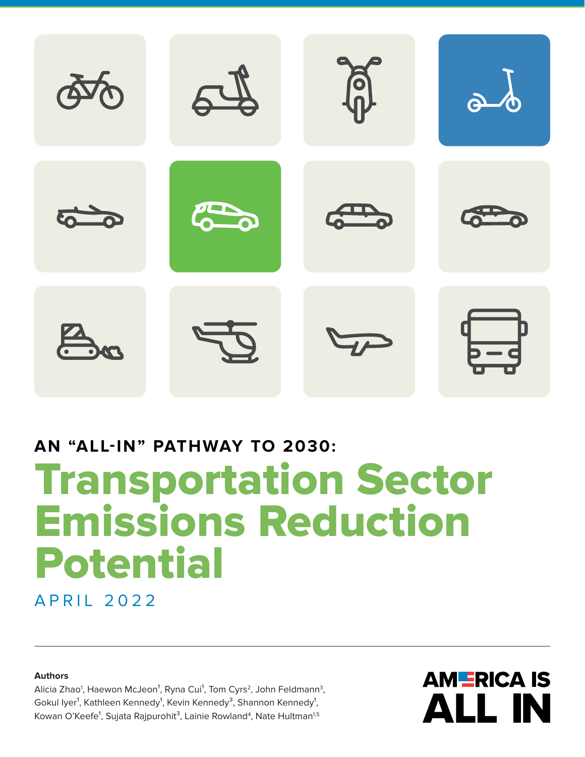

## **AN "ALL-IN" PATHWAY TO 2030:** Transportation Sector

# Emissions Reduction Potential

APRIL 2022

**Authors**

Alicia Zhao<sup>1</sup>, Haewon McJeon<sup>1</sup>, Ryna Cui<sup>1</sup>, Tom Cyrs<sup>2</sup>, John Feldmann<sup>3</sup>, Gokul Iyer<sup>1</sup>, Kathleen Kennedy<sup>1</sup>, Kevin Kennedy<sup>3</sup>, Shannon Kennedy<sup>1</sup>, Kowan O'Keefe<sup>1</sup>, Sujata Rajpurohit<sup>3</sup>, Lainie Rowland<sup>4</sup>, Nate Hultman<sup>1,5</sup>

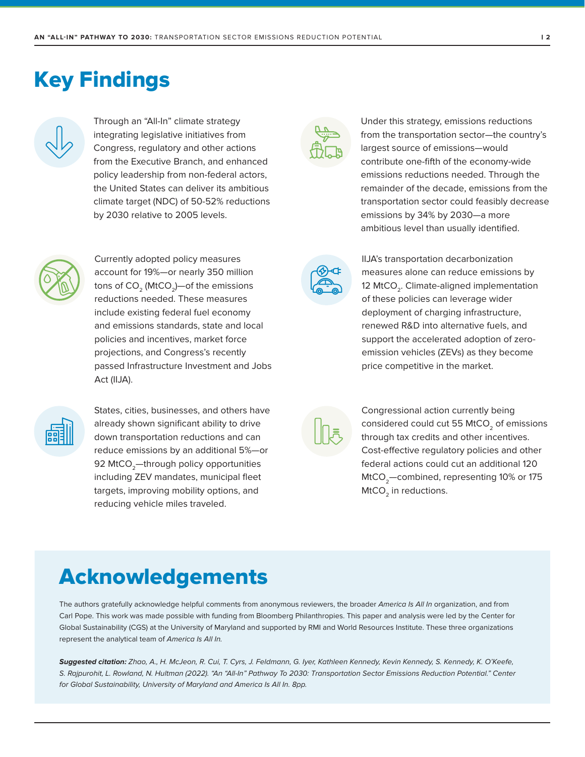### Key Findings



Through an "All-In" climate strategy integrating legislative initiatives from Congress, regulatory and other actions from the Executive Branch, and enhanced policy leadership from non-federal actors, the United States can deliver its ambitious climate target (NDC) of 50-52% reductions by 2030 relative to 2005 levels.



Currently adopted policy measures account for 19%—or nearly 350 million tons of  $CO<sub>2</sub>$  (MtCO<sub>2</sub>)—of the emissions reductions needed. These measures include existing federal fuel economy and emissions standards, state and local policies and incentives, market force projections, and Congress's recently passed Infrastructure Investment and Jobs Act (IIJA).



States, cities, businesses, and others have already shown significant ability to drive down transportation reductions and can reduce emissions by an additional 5%—or 92 MtCO<sub>2</sub>-through policy opportunities including ZEV mandates, municipal fleet targets, improving mobility options, and reducing vehicle miles traveled.



Under this strategy, emissions reductions from the transportation sector—the country's largest source of emissions—would contribute one-fifth of the economy-wide emissions reductions needed. Through the remainder of the decade, emissions from the transportation sector could feasibly decrease emissions by 34% by 2030—a more ambitious level than usually identified.



IIJA's transportation decarbonization measures alone can reduce emissions by 12 MtCO<sub>2</sub>. Climate-aligned implementation of these policies can leverage wider deployment of charging infrastructure, renewed R&D into alternative fuels, and support the accelerated adoption of zeroemission vehicles (ZEVs) as they become price competitive in the market.

Congressional action currently being considered could cut 55 MtCO<sub>2</sub> of emissions through tax credits and other incentives. Cost-effective regulatory policies and other federal actions could cut an additional 120 MtCO<sub>2</sub>-combined, representing 10% or 175 MtCO<sub>2</sub> in reductions.

### Acknowledgements

The authors gratefully acknowledge helpful comments from anonymous reviewers, the broader America Is All In organization, and from Carl Pope. This work was made possible with funding from Bloomberg Philanthropies. This paper and analysis were led by the Center for Global Sustainability (CGS) at the University of Maryland and supported by RMI and World Resources Institute. These three organizations represent the analytical team of America Is All In.

**Suggested citation:** Zhao, A., H. McJeon, R. Cui, T. Cyrs, J. Feldmann, G. Iyer, Kathleen Kennedy, Kevin Kennedy, S. Kennedy, K. O'Keefe, S. Rajpurohit, L. Rowland, N. Hultman (2022). "An "All-In" Pathway To 2030: Transportation Sector Emissions Reduction Potential." Center for Global Sustainability, University of Maryland and America Is All In. 8pp.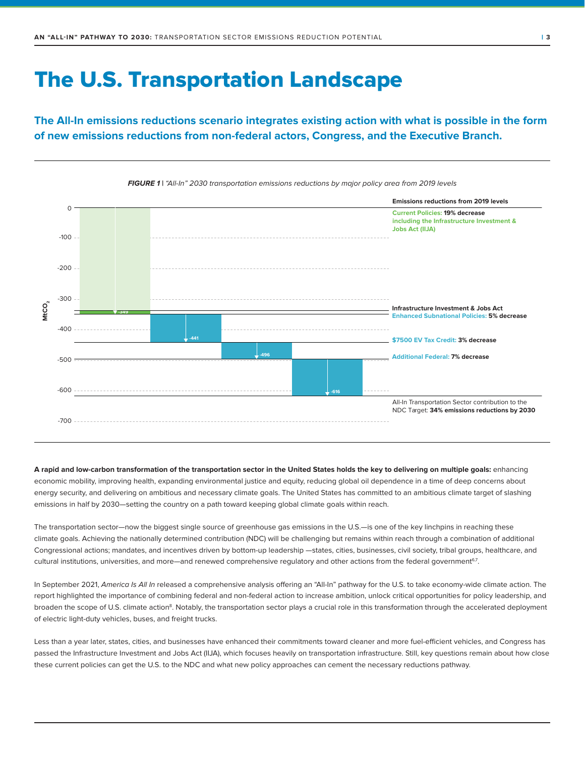### The U.S. Transportation Landscape

**The All-In emissions reductions scenario integrates existing action with what is possible in the form of new emissions reductions from non-federal actors, Congress, and the Executive Branch.**



**FIGURE 1 |** "All-In" 2030 transportation emissions reductions by major policy area from 2019 levels

**A rapid and low-carbon transformation of the transportation sector in the United States holds the key to delivering on multiple goals:** enhancing economic mobility, improving health, expanding environmental justice and equity, reducing global oil dependence in a time of deep concerns about energy security, and delivering on ambitious and necessary climate goals. The United States has committed to an ambitious climate target of slashing emissions in half by 2030—setting the country on a path toward keeping global climate goals within reach.

The transportation sector—now the biggest single source of greenhouse gas emissions in the U.S.—is one of the key linchpins in reaching these climate goals. Achieving the nationally determined contribution (NDC) will be challenging but remains within reach through a combination of additional Congressional actions; mandates, and incentives driven by bottom-up leadership —states, cities, businesses, civil society, tribal groups, healthcare, and cultural institutions, universities, and more—and renewed comprehensive regulatory and other actions from the federal government<sup>67</sup>.

In September 2021, America Is All In released a comprehensive analysis offering an "All-In" pathway for the U.S. to take economy-wide climate action. The report highlighted the importance of combining federal and non-federal action to increase ambition, unlock critical opportunities for policy leadership, and broaden the scope of U.S. climate action<sup>8</sup>. Notably, the transportation sector plays a crucial role in this transformation through the accelerated deployment of electric light-duty vehicles, buses, and freight trucks.

Less than a year later, states, cities, and businesses have enhanced their commitments toward cleaner and more fuel-efficient vehicles, and Congress has passed the Infrastructure Investment and Jobs Act (IIJA), which focuses heavily on transportation infrastructure. Still, key questions remain about how close these current policies can get the U.S. to the NDC and what new policy approaches can cement the necessary reductions pathway.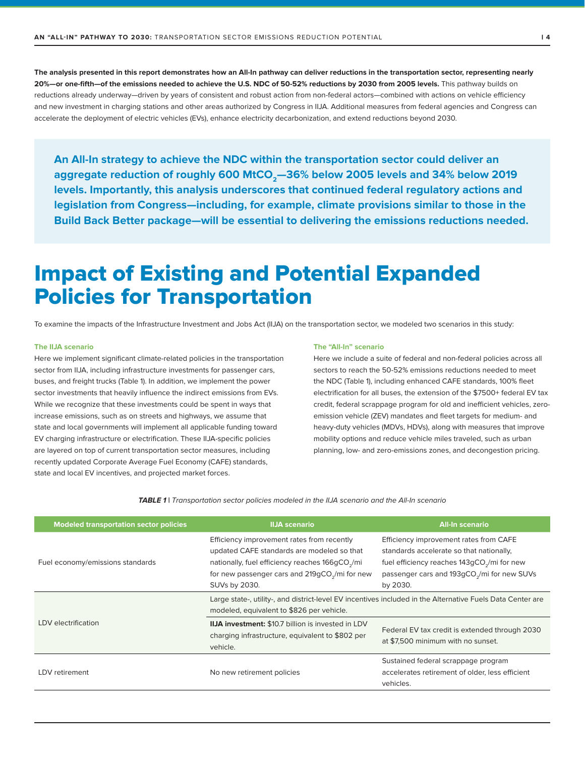**The analysis presented in this report demonstrates how an All-In pathway can deliver reductions in the transportation sector, representing nearly**  20%-or one-fifth-of the emissions needed to achieve the U.S. NDC of 50-52% reductions by 2030 from 2005 levels. This pathway builds on reductions already underway—driven by years of consistent and robust action from non-federal actors—combined with actions on vehicle efficiency and new investment in charging stations and other areas authorized by Congress in IIJA. Additional measures from federal agencies and Congress can accelerate the deployment of electric vehicles (EVs), enhance electricity decarbonization, and extend reductions beyond 2030.

**An All-In strategy to achieve the NDC within the transportation sector could deliver an**  aggregate reduction of roughly 600 MtCO<sub>2</sub>-36% below 2005 levels and 34% below 2019 **levels. Importantly, this analysis underscores that continued federal regulatory actions and legislation from Congress—including, for example, climate provisions similar to those in the Build Back Better package—will be essential to delivering the emissions reductions needed.** 

### Impact of Existing and Potential Expanded Policies for Transportation

To examine the impacts of the Infrastructure Investment and Jobs Act (IIJA) on the transportation sector, we modeled two scenarios in this study:

#### **The IIJA scenario**

Here we implement significant climate-related policies in the transportation sector from IIJA, including infrastructure investments for passenger cars, buses, and freight trucks (Table 1). In addition, we implement the power sector investments that heavily influence the indirect emissions from EVs. While we recognize that these investments could be spent in ways that increase emissions, such as on streets and highways, we assume that state and local governments will implement all applicable funding toward EV charging infrastructure or electrification. These IIJA-specific policies are layered on top of current transportation sector measures, including recently updated Corporate Average Fuel Economy (CAFE) standards, state and local EV incentives, and projected market forces.

#### **The "All-In" scenario**

Here we include a suite of federal and non-federal policies across all sectors to reach the 50-52% emissions reductions needed to meet the NDC (Table 1), including enhanced CAFE standards, 100% fleet electrification for all buses, the extension of the \$7500+ federal EV tax credit, federal scrappage program for old and inefficient vehicles, zeroemission vehicle (ZEV) mandates and fleet targets for medium- and heavy-duty vehicles (MDVs, HDVs), along with measures that improve mobility options and reduce vehicle miles traveled, such as urban planning, low- and zero-emissions zones, and decongestion pricing.

**TABLE 1 |** Transportation sector policies modeled in the IIJA scenario and the All-In scenario

| <b>Modeled transportation sector policies</b> | <b>IIJA</b> scenario                                                                                                                                                                                                                   | <b>All-In scenario</b>                                                                                                                                                                                               |  |
|-----------------------------------------------|----------------------------------------------------------------------------------------------------------------------------------------------------------------------------------------------------------------------------------------|----------------------------------------------------------------------------------------------------------------------------------------------------------------------------------------------------------------------|--|
| Fuel economy/emissions standards              | Efficiency improvement rates from recently<br>updated CAFE standards are modeled so that<br>nationally, fuel efficiency reaches 166gCO <sub>2</sub> /mi<br>for new passenger cars and 219gCO <sub>2</sub> /mi for new<br>SUVs by 2030. | Efficiency improvement rates from CAFE<br>standards accelerate so that nationally,<br>fuel efficiency reaches 143gCO <sub>2</sub> /mi for new<br>passenger cars and 193gCO <sub>2</sub> /mi for new SUVs<br>by 2030. |  |
| LDV electrification                           | Large state-, utility-, and district-level EV incentives included in the Alternative Fuels Data Center are<br>modeled, equivalent to \$826 per vehicle.                                                                                |                                                                                                                                                                                                                      |  |
|                                               | IIJA investment: \$10.7 billion is invested in LDV<br>charging infrastructure, equivalent to \$802 per<br>vehicle.                                                                                                                     | Federal EV tax credit is extended through 2030<br>at \$7,500 minimum with no sunset.                                                                                                                                 |  |
| LDV retirement                                | No new retirement policies                                                                                                                                                                                                             | Sustained federal scrappage program<br>accelerates retirement of older, less efficient<br>vehicles.                                                                                                                  |  |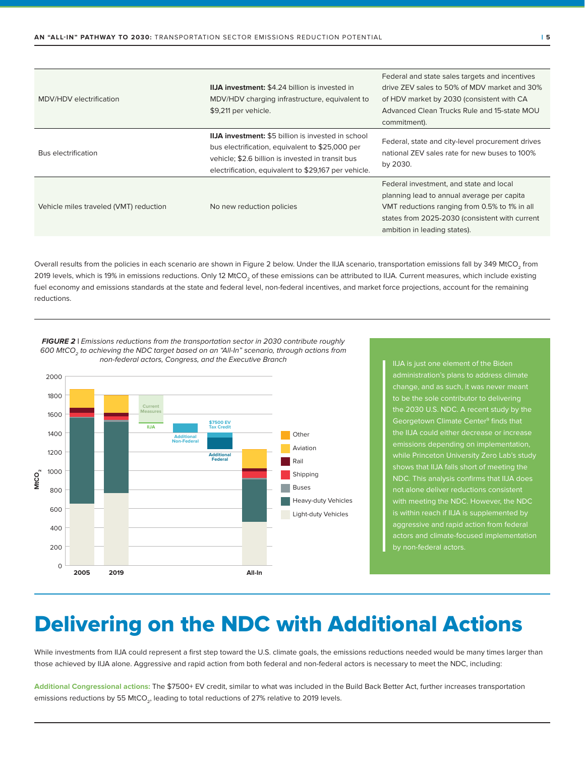| MDV/HDV electrification                | <b>IIJA investment: \$4.24 billion is invested in</b><br>MDV/HDV charging infrastructure, equivalent to<br>\$9,211 per vehicle.                                                                                           | Federal and state sales targets and incentives<br>drive ZEV sales to 50% of MDV market and 30%<br>of HDV market by 2030 (consistent with CA<br>Advanced Clean Trucks Rule and 15-state MOU<br>commitment).               |
|----------------------------------------|---------------------------------------------------------------------------------------------------------------------------------------------------------------------------------------------------------------------------|--------------------------------------------------------------------------------------------------------------------------------------------------------------------------------------------------------------------------|
| <b>Bus electrification</b>             | <b>IIJA investment:</b> \$5 billion is invested in school<br>bus electrification, equivalent to \$25,000 per<br>vehicle; \$2.6 billion is invested in transit bus<br>electrification, equivalent to \$29,167 per vehicle. | Federal, state and city-level procurement drives<br>national ZEV sales rate for new buses to 100%<br>by 2030.                                                                                                            |
| Vehicle miles traveled (VMT) reduction | No new reduction policies                                                                                                                                                                                                 | Federal investment, and state and local<br>planning lead to annual average per capita<br>VMT reductions ranging from 0.5% to 1% in all<br>states from 2025-2030 (consistent with current<br>ambition in leading states). |

Overall results from the policies in each scenario are shown in Figure 2 below. Under the IIJA scenario, transportation emissions fall by 349 MtCO<sub>2</sub> from 2019 levels, which is 19% in emissions reductions. Only 12 MtCO<sub>2</sub> of these emissions can be attributed to IIJA. Current measures, which include existing fuel economy and emissions standards at the state and federal level, non-federal incentives, and market force projections, account for the remaining reductions.

**FIGURE 2** | Emissions reductions from the transportation sector in 2030 contribute roughly 600 MtCO<sub>2</sub> to achieving the NDC target based on an "All-In" scenario, through actions from non-federal actors, Congress, and the Executive Branch



administration's plans to address climate change, and as such, it was never meant to be the sole contributor to delivering the 2030 U.S. NDC. A recent study by the Georgetown Climate Center<sup>9</sup> finds that the IIJA could either decrease or increase emissions depending on implementation, shows that IIJA falls short of meeting the NDC. This analysis confirms that IIJA does with meeting the NDC. However, the NDC is within reach if IIJA is supplemented by aggressive and rapid action from federa

### Delivering on the NDC with Additional Actions

While investments from IIJA could represent a first step toward the U.S. climate goals, the emissions reductions needed would be many times larger than those achieved by IIJA alone. Aggressive and rapid action from both federal and non-federal actors is necessary to meet the NDC, including:

**Additional Congressional actions:** The \$7500+ EV credit, similar to what was included in the Build Back Better Act, further increases transportation emissions reductions by 55 MtCO<sub>2</sub>, leading to total reductions of 27% relative to 2019 levels.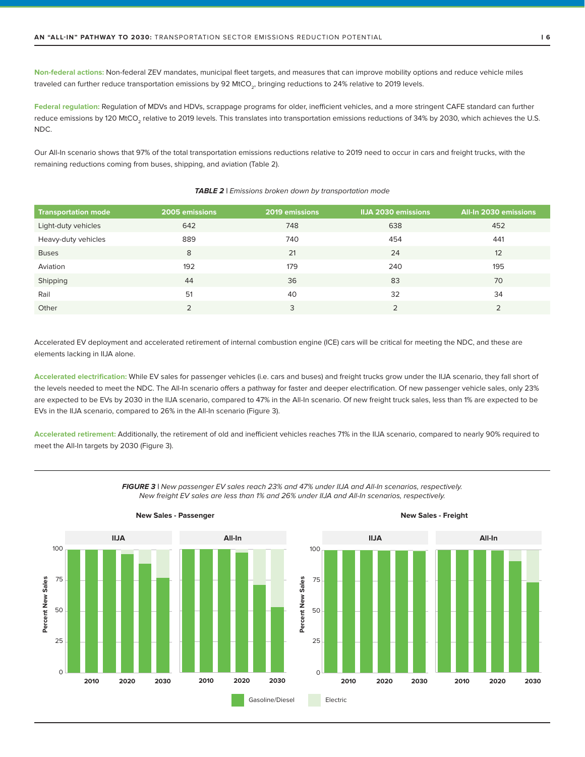**Non-federal actions:** Non-federal ZEV mandates, municipal fleet targets, and measures that can improve mobility options and reduce vehicle miles traveled can further reduce transportation emissions by 92 MtCO<sub>3</sub>, bringing reductions to 24% relative to 2019 levels.

Federal regulation: Regulation of MDVs and HDVs, scrappage programs for older, inefficient vehicles, and a more stringent CAFE standard can further reduce emissions by 120 MtCO<sub>2</sub> relative to 2019 levels. This translates into transportation emissions reductions of 34% by 2030, which achieves the U.S. NDC.

Our All-In scenario shows that 97% of the total transportation emissions reductions relative to 2019 need to occur in cars and freight trucks, with the remaining reductions coming from buses, shipping, and aviation (Table 2).

| <b>Transportation mode</b> | 2005 emissions | 2019 emissions | <b>IIJA 2030 emissions</b> | All-In 2030 emissions |
|----------------------------|----------------|----------------|----------------------------|-----------------------|
| Light-duty vehicles        | 642            | 748            | 638                        | 452                   |
| Heavy-duty vehicles        | 889            | 740            | 454                        | 441                   |
| <b>Buses</b>               | 8              | 21             | 24                         | 12                    |
| Aviation                   | 192            | 179            | 240                        | 195                   |
| Shipping                   | 44             | 36             | 83                         | 70                    |
| Rail                       | 51             | 40             | 32                         | 34                    |
| Other                      | ∍              | 3              | ∍                          |                       |

#### **TABLE 2** | Emissions broken down by transportation mode

Accelerated EV deployment and accelerated retirement of internal combustion engine (ICE) cars will be critical for meeting the NDC, and these are elements lacking in IIJA alone.

**Accelerated electrification:** While EV sales for passenger vehicles (i.e. cars and buses) and freight trucks grow under the IIJA scenario, they fall short of the levels needed to meet the NDC. The All-In scenario offers a pathway for faster and deeper electrification. Of new passenger vehicle sales, only 23% are expected to be EVs by 2030 in the IIJA scenario, compared to 47% in the All-In scenario. Of new freight truck sales, less than 1% are expected to be EVs in the IIJA scenario, compared to 26% in the All-In scenario (Figure 3).

**Accelerated retirement:** Additionally, the retirement of old and inefficient vehicles reaches 71% in the IIJA scenario, compared to nearly 90% required to meet the All-In targets by 2030 (Figure 3).





**New Sales - Passenger New Sales - Freight**

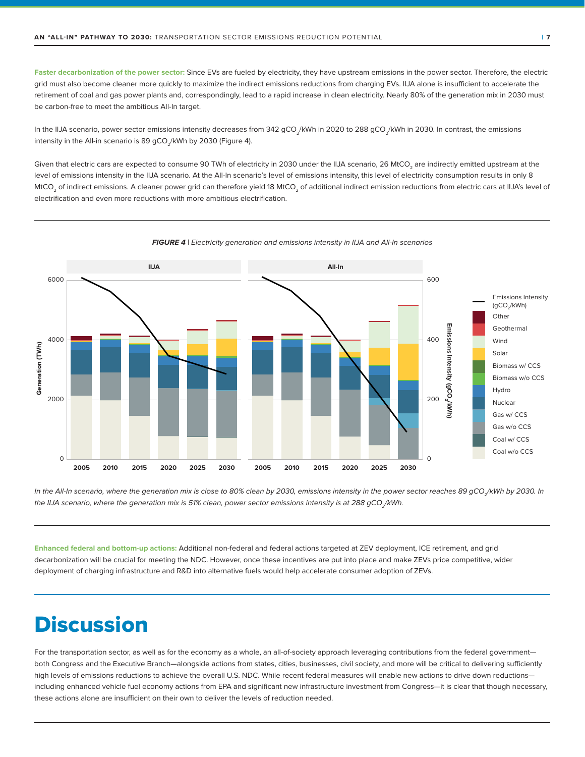Faster decarbonization of the power sector: Since EVs are fueled by electricity, they have upstream emissions in the power sector. Therefore, the electric grid must also become cleaner more quickly to maximize the indirect emissions reductions from charging EVs. IIJA alone is insufficient to accelerate the retirement of coal and gas power plants and, correspondingly, lead to a rapid increase in clean electricity. Nearly 80% of the generation mix in 2030 must be carbon-free to meet the ambitious All-In target.

In the IIJA scenario, power sector emissions intensity decreases from 342 gCO<sub>2</sub>/kWh in 2020 to 288 gCO<sub>2</sub>/kWh in 2030. In contrast, the emissions intensity in the All-in scenario is 89 gCO<sub>2</sub>/kWh by 2030 (Figure 4).

Given that electric cars are expected to consume 90 TWh of electricity in 2030 under the IIJA scenario, 26 MtCO<sub>2</sub> are indirectly emitted upstream at the level of emissions intensity in the IIJA scenario. At the All-In scenario's level of emissions intensity, this level of electricity consumption results in only 8 MtCO<sub>2</sub> of indirect emissions. A cleaner power grid can therefore yield 18 MtCO<sub>3</sub> of additional indirect emission reductions from electric cars at IIJA's level of electrification and even more reductions with more ambitious electrification.



**FIGURE 4** | Electricity generation and emissions intensity in IIJA and All-In scenarios

In the All-In scenario, where the generation mix is close to 80% clean by 2030, emissions intensity in the power sector reaches 89 gCO\_/kWh by 2030. In the IIJA scenario, where the generation mix is 51% clean, power sector emissions intensity is at 288 gCO<sub>-</sub>/kWh.

**Enhanced federal and bottom-up actions:** Additional non-federal and federal actions targeted at ZEV deployment, ICE retirement, and grid decarbonization will be crucial for meeting the NDC. However, once these incentives are put into place and make ZEVs price competitive, wider deployment of charging infrastructure and R&D into alternative fuels would help accelerate consumer adoption of ZEVs.

### **Discussion**

For the transportation sector, as well as for the economy as a whole, an all-of-society approach leveraging contributions from the federal governmentboth Congress and the Executive Branch—alongside actions from states, cities, businesses, civil society, and more will be critical to delivering sufficiently high levels of emissions reductions to achieve the overall U.S. NDC. While recent federal measures will enable new actions to drive down reductions including enhanced vehicle fuel economy actions from EPA and significant new infrastructure investment from Congress—it is clear that though necessary, these actions alone are insufficient on their own to deliver the levels of reduction needed.